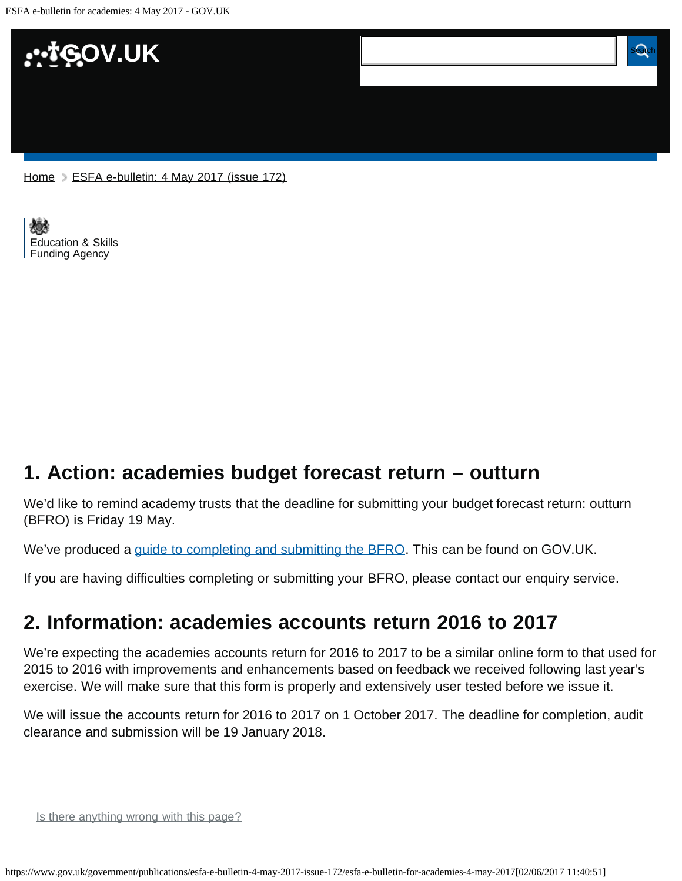ESFA e-bulletin for academies: 4 May 2017 - GOV.UK



[Education & Skills](https://www.gov.uk/government/organisations/education-and-skills-funding-agency)  [Funding Agency](https://www.gov.uk/government/organisations/education-and-skills-funding-agency)

## <span id="page-0-0"></span>**1. Action: academies budget forecast return – outturn**

We'd like to remind academy trusts that the deadline for submitting your budget forecast return: outturn (BFRO) is Friday 19 May.

We've produced a [guide to completing and submitting the BFRO](https://www.gov.uk/government/publications/academies-budget-forecast-outturn-2016-to-2017). This can be found on GOV.UK.

If you are having difficulties completing or submitting your BFRO, please contact our enquiry service.

## <span id="page-0-1"></span>**2. Information: academies accounts return 2016 to 2017**

We're expecting the academies accounts return for 2016 to 2017 to be a similar online form to that used for 2015 to 2016 with improvements and enhancements based on feedback we received following last year's exercise. We will make sure that this form is properly and extensively user tested before we issue it.

We will issue the accounts return for 2016 to 2017 on 1 October 2017. The deadline for completion, audit clearance and submission will be 19 January 2018.

Is there anything wrong with this page?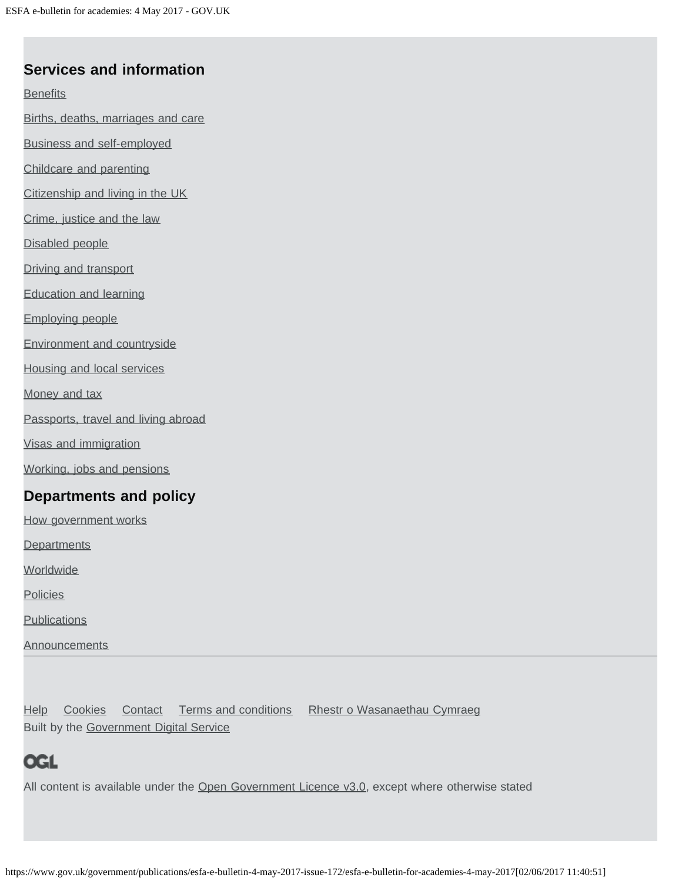### **Services and information**

**[Benefits](https://www.gov.uk/browse/benefits)** 

[Births, deaths, marriages and care](https://www.gov.uk/browse/births-deaths-marriages)

[Business and self-employed](https://www.gov.uk/browse/business)

[Childcare and parenting](https://www.gov.uk/browse/childcare-parenting)

[Citizenship and living in the UK](https://www.gov.uk/browse/citizenship)

[Crime, justice and the law](https://www.gov.uk/browse/justice)

[Disabled people](https://www.gov.uk/browse/disabilities)

[Driving and transport](https://www.gov.uk/browse/driving)

[Education and learning](https://www.gov.uk/browse/education)

[Employing people](https://www.gov.uk/browse/employing-people)

[Environment and countryside](https://www.gov.uk/browse/environment-countryside)

[Housing and local services](https://www.gov.uk/browse/housing-local-services)

[Money and tax](https://www.gov.uk/browse/tax)

[Passports, travel and living abroad](https://www.gov.uk/browse/abroad)

[Visas and immigration](https://www.gov.uk/browse/visas-immigration)

[Working, jobs and pensions](https://www.gov.uk/browse/working)

#### **Departments and policy**

[How government works](https://www.gov.uk/government/how-government-works)

**[Departments](https://www.gov.uk/government/organisations)** 

**[Worldwide](https://www.gov.uk/government/world)** 

**[Policies](https://www.gov.uk/government/policies)** 

**[Publications](https://www.gov.uk/government/publications)** 

**[Announcements](https://www.gov.uk/government/announcements)** 

[Help](https://www.gov.uk/help) [Cookies](https://www.gov.uk/help/cookies) [Contact](https://www.gov.uk/contact) [Terms and conditions](https://www.gov.uk/help/terms-conditions) [Rhestr o Wasanaethau Cymraeg](https://www.gov.uk/cymraeg) Built by the [Government Digital Service](https://www.gov.uk/government/organisations/government-digital-service)

# **OGL**

All content is available under the [Open Government Licence v3.0,](https://www.nationalarchives.gov.uk/doc/open-government-licence/version/3/) except where otherwise stated